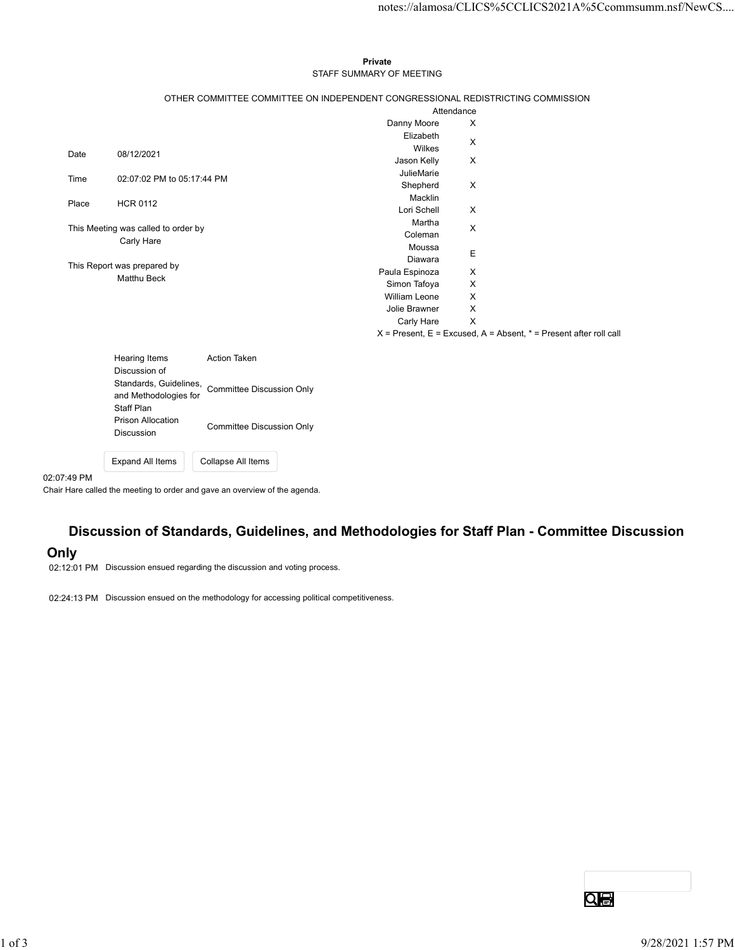## Private STAFF SUMMARY OF MEETING

|             |                                                               |                                  |                                                                                 |                                                                       | notes://alamosa/CLICS%5CCLICS2021A%5Ccommsumm.nsf/NewCS |
|-------------|---------------------------------------------------------------|----------------------------------|---------------------------------------------------------------------------------|-----------------------------------------------------------------------|---------------------------------------------------------|
|             |                                                               |                                  |                                                                                 |                                                                       |                                                         |
|             |                                                               |                                  |                                                                                 |                                                                       |                                                         |
|             |                                                               |                                  | Private                                                                         |                                                                       |                                                         |
|             |                                                               |                                  | STAFF SUMMARY OF MEETING                                                        |                                                                       |                                                         |
|             |                                                               |                                  |                                                                                 |                                                                       |                                                         |
|             |                                                               |                                  | OTHER COMMITTEE COMMITTEE ON INDEPENDENT CONGRESSIONAL REDISTRICTING COMMISSION |                                                                       |                                                         |
|             |                                                               |                                  |                                                                                 | Attendance                                                            |                                                         |
|             |                                                               |                                  | Danny Moore<br>Elizabeth                                                        | X                                                                     |                                                         |
|             |                                                               |                                  | Wilkes                                                                          | $\boldsymbol{\mathsf{X}}$                                             |                                                         |
| Date        | 08/12/2021                                                    |                                  | Jason Kelly                                                                     | X                                                                     |                                                         |
| Time        | 02:07:02 PM to 05:17:44 PM                                    |                                  | JulieMarie                                                                      |                                                                       |                                                         |
|             |                                                               |                                  | Shepherd                                                                        | $\mathsf{X}$                                                          |                                                         |
| Place       | <b>HCR 0112</b>                                               |                                  | Macklin<br>Lori Schell                                                          | X                                                                     |                                                         |
|             |                                                               |                                  | Martha                                                                          |                                                                       |                                                         |
|             | This Meeting was called to order by                           |                                  | Coleman                                                                         | $\mathsf{X}$                                                          |                                                         |
|             | Carly Hare                                                    |                                  | Moussa                                                                          | $\mathsf E$                                                           |                                                         |
|             | This Report was prepared by                                   |                                  | Diawara                                                                         |                                                                       |                                                         |
| Matthu Beck |                                                               |                                  | Paula Espinoza                                                                  | X                                                                     |                                                         |
|             |                                                               |                                  | Simon Tafoya<br>William Leone                                                   | X<br>X                                                                |                                                         |
|             |                                                               |                                  | Jolie Brawner                                                                   | X                                                                     |                                                         |
|             |                                                               |                                  | Carly Hare                                                                      | $\mathsf{X}$                                                          |                                                         |
|             |                                                               |                                  |                                                                                 | $X =$ Present, E = Excused, A = Absent, $* =$ Present after roll call |                                                         |
|             |                                                               |                                  |                                                                                 |                                                                       |                                                         |
|             |                                                               |                                  |                                                                                 |                                                                       |                                                         |
|             | <b>Hearing Items</b>                                          | Action Taken                     |                                                                                 |                                                                       |                                                         |
|             | Discussion of                                                 |                                  |                                                                                 |                                                                       |                                                         |
|             |                                                               | <b>Committee Discussion Only</b> |                                                                                 |                                                                       |                                                         |
|             | Standards, Guidelines,<br>and Methodologies for<br>Staff Plan |                                  |                                                                                 |                                                                       |                                                         |
|             | <b>Prison Allocation</b>                                      | <b>Committee Discussion Only</b> |                                                                                 |                                                                       |                                                         |

02:07:49 PM

Chair Hare called the meeting to order and gave an overview of the agenda.

Expand All Items Collapse All Items

# Discussion of Standards, Guidelines, and Methodologies for Staff Plan - Committee Discussion

# Only

02:12:01 PM Discussion ensued regarding the discussion and voting process.

02:24:13 PM Discussion ensued on the methodology for accessing political competitiveness.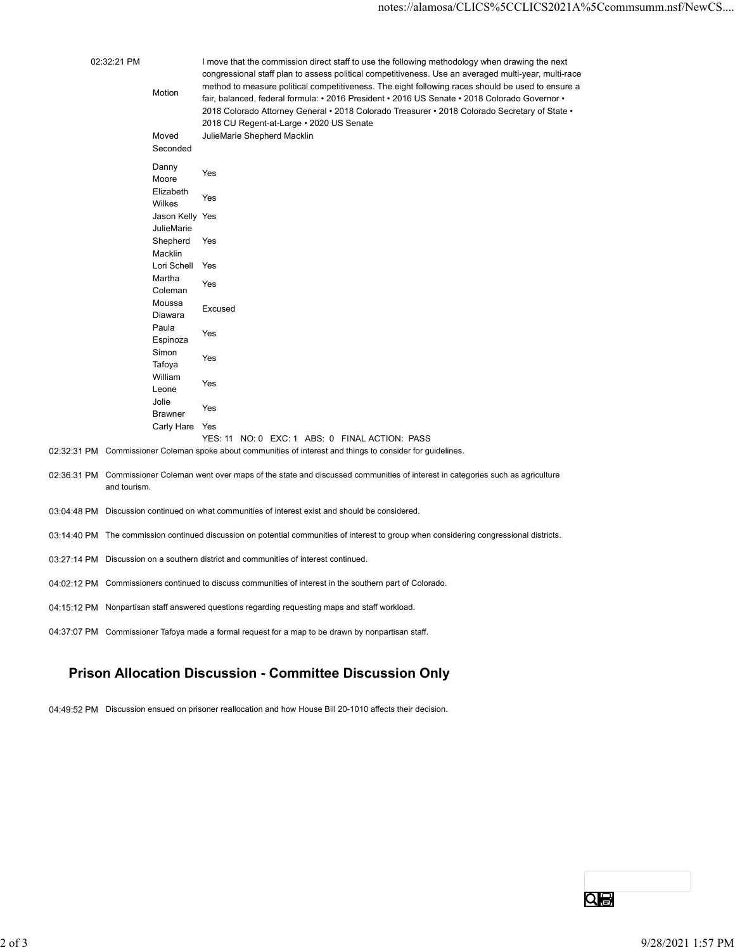|                                                                                                                                         |                                           | notes://alamosa/CLICS%5CCLICS2021A%5Ccommsumm.nsf/NewCS                                                                                                                                                                                                                                                                                                                                                                                                                                                       |  |  |
|-----------------------------------------------------------------------------------------------------------------------------------------|-------------------------------------------|---------------------------------------------------------------------------------------------------------------------------------------------------------------------------------------------------------------------------------------------------------------------------------------------------------------------------------------------------------------------------------------------------------------------------------------------------------------------------------------------------------------|--|--|
| 02:32:21 PM                                                                                                                             | Motion                                    | I move that the commission direct staff to use the following methodology when drawing the next<br>congressional staff plan to assess political competitiveness. Use an averaged multi-year, multi-race<br>method to measure political competitiveness. The eight following races should be used to ensure a<br>fair, balanced, federal formula: • 2016 President • 2016 US Senate • 2018 Colorado Governor •<br>2018 Colorado Attorney General • 2018 Colorado Treasurer • 2018 Colorado Secretary of State • |  |  |
|                                                                                                                                         | Moved<br>Seconded                         | 2018 CU Regent-at-Large . 2020 US Senate<br>JulieMarie Shepherd Macklin                                                                                                                                                                                                                                                                                                                                                                                                                                       |  |  |
|                                                                                                                                         | Danny<br>Moore                            | Yes                                                                                                                                                                                                                                                                                                                                                                                                                                                                                                           |  |  |
|                                                                                                                                         | Elizabeth<br>Wilkes                       | Yes                                                                                                                                                                                                                                                                                                                                                                                                                                                                                                           |  |  |
|                                                                                                                                         | Jason Kelly Yes<br>JulieMarie<br>Shepherd | Yes                                                                                                                                                                                                                                                                                                                                                                                                                                                                                                           |  |  |
|                                                                                                                                         | Macklin<br>Lori Schell Yes                |                                                                                                                                                                                                                                                                                                                                                                                                                                                                                                               |  |  |
|                                                                                                                                         | Martha<br>Coleman                         | Yes                                                                                                                                                                                                                                                                                                                                                                                                                                                                                                           |  |  |
|                                                                                                                                         | Moussa<br>Diawara                         | Excused                                                                                                                                                                                                                                                                                                                                                                                                                                                                                                       |  |  |
|                                                                                                                                         | Paula<br>Espinoza                         | Yes                                                                                                                                                                                                                                                                                                                                                                                                                                                                                                           |  |  |
|                                                                                                                                         | Simon<br>Tafoya                           | Yes                                                                                                                                                                                                                                                                                                                                                                                                                                                                                                           |  |  |
|                                                                                                                                         | William<br>Leone                          | Yes                                                                                                                                                                                                                                                                                                                                                                                                                                                                                                           |  |  |
|                                                                                                                                         | Jolie<br><b>Brawner</b>                   | Yes                                                                                                                                                                                                                                                                                                                                                                                                                                                                                                           |  |  |
|                                                                                                                                         | Carly Hare Yes                            | YES: 11 NO: 0 EXC: 1 ABS: 0 FINAL ACTION: PASS                                                                                                                                                                                                                                                                                                                                                                                                                                                                |  |  |
|                                                                                                                                         |                                           | 02:32:31 PM Commissioner Coleman spoke about communities of interest and things to consider for guidelines.                                                                                                                                                                                                                                                                                                                                                                                                   |  |  |
| and tourism.                                                                                                                            |                                           | 02:36:31 PM Commissioner Coleman went over maps of the state and discussed communities of interest in categories such as agriculture                                                                                                                                                                                                                                                                                                                                                                          |  |  |
| 03:04:48 PM Discussion continued on what communities of interest exist and should be considered.                                        |                                           |                                                                                                                                                                                                                                                                                                                                                                                                                                                                                                               |  |  |
| 03:14:40 PM The commission continued discussion on potential communities of interest to group when considering congressional districts. |                                           |                                                                                                                                                                                                                                                                                                                                                                                                                                                                                                               |  |  |

- 03:27:14 PM Discussion on a southern district and communities of interest continued.
- 04:02:12 PM Commissioners continued to discuss communities of interest in the southern part of Colorado.
- 04:15:12 PM Nonpartisan staff answered questions regarding requesting maps and staff workload.
- 04:37:07 PM Commissioner Tafoya made a formal request for a map to be drawn by nonpartisan staff.

# Prison Allocation Discussion - Committee Discussion Only DESCRIPS CONTENT CONTENT INTO A SUBJECT AND A SUBJECT OF A SUBJECT AND TO BE SUBJECT AND TO BE SUBJECT AND TO A SUBJECT AND TO A SUBJECT AND TO A SUBJECT AND A SUBJECT AND TO A SUBJECT AND TO A SUBJECT AND TO A SUBJECT AND

04:49:52 PM Discussion ensued on prisoner reallocation and how House Bill 20-1010 affects their decision.